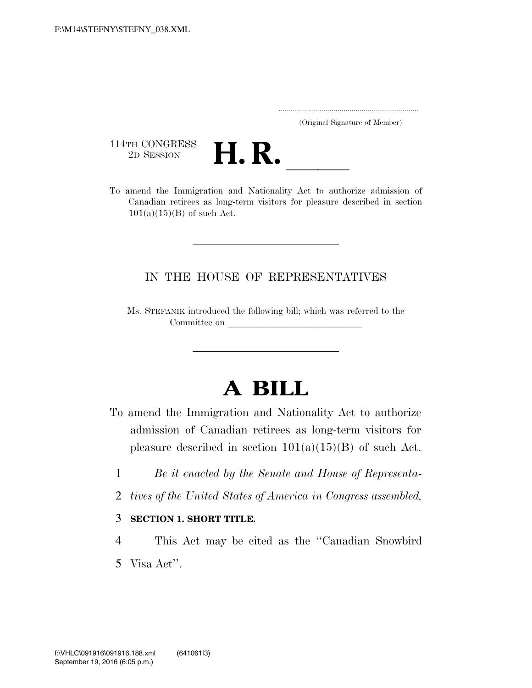..................................................................... (Original Signature of Member)

114TH CONGRESS<br>2D SESSION



THE CONGRESS<br>
2D SESSION<br>
To amend the Immigration and Nationality Act to authorize admission of Canadian retirees as long-term visitors for pleasure described in section  $101(a)(15)(B)$  of such Act.

## IN THE HOUSE OF REPRESENTATIVES

Ms. STEFANIK introduced the following bill; which was referred to the Committee on

## **A BILL**

- To amend the Immigration and Nationality Act to authorize admission of Canadian retirees as long-term visitors for pleasure described in section  $101(a)(15)(B)$  of such Act.
	- 1 *Be it enacted by the Senate and House of Representa-*
	- 2 *tives of the United States of America in Congress assembled,*

## 3 **SECTION 1. SHORT TITLE.**

- 4 This Act may be cited as the ''Canadian Snowbird
- 5 Visa Act''.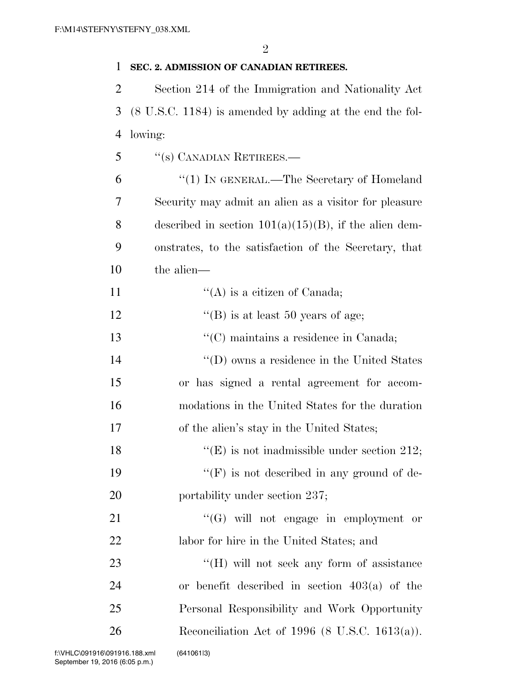## 1 **SEC. 2. ADMISSION OF CANADIAN RETIREES.**

2 Section 214 of the Immigration and Nationality Act 3 (8 U.S.C. 1184) is amended by adding at the end the fol-4 lowing:

5 ''(s) CANADIAN RETIREES.—

 ''(1) IN GENERAL.—The Secretary of Homeland Security may admit an alien as a visitor for pleasure 8 described in section  $101(a)(15)(B)$ , if the alien dem- onstrates, to the satisfaction of the Secretary, that the alien—

11  $"({\rm A})$  is a citizen of Canada; 12  $"$ (B) is at least 50 years of age; 13 ''(C) maintains a residence in Canada; 14 ''(D) owns a residence in the United States 15 or has signed a rental agreement for accom-16 modations in the United States for the duration 17 of the alien's stay in the United States; 18 ''(E) is not inadmissible under section 212; 19  $"({\rm F})$  is not described in any ground of de-20 portability under section 237; 21  $\frac{1}{2}$   $\frac{1}{2}$   $\frac{1}{2}$   $\frac{1}{2}$   $\frac{1}{2}$   $\frac{1}{2}$   $\frac{1}{2}$   $\frac{1}{2}$   $\frac{1}{2}$   $\frac{1}{2}$   $\frac{1}{2}$   $\frac{1}{2}$   $\frac{1}{2}$   $\frac{1}{2}$   $\frac{1}{2}$   $\frac{1}{2}$   $\frac{1}{2}$   $\frac{1}{2}$   $\frac{1}{2}$   $\frac{1}{2}$   $\frac{1}{2}$   $\frac{1}{2}$ 22 labor for hire in the United States; and 23 ""(H) will not seek any form of assistance 24 or benefit described in section 403(a) of the 25 Personal Responsibility and Work Opportunity